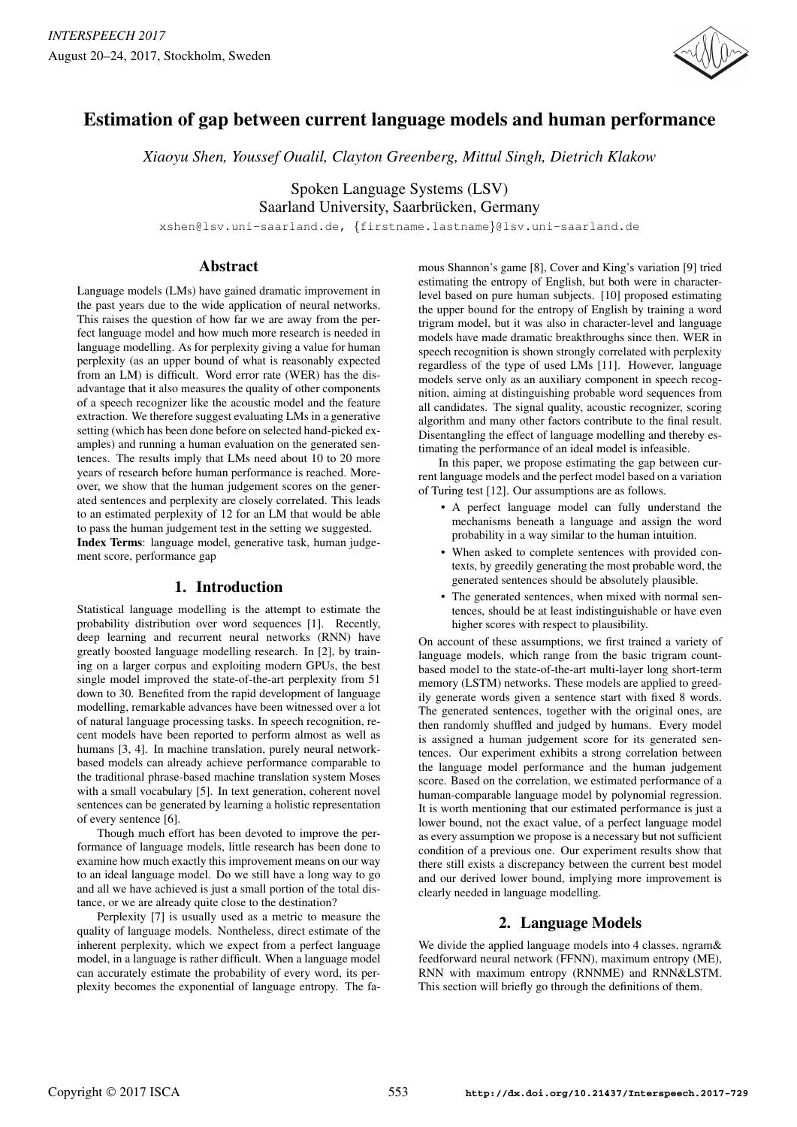

# Estimation of gap between current language models and human performance

*Xiaoyu Shen, Youssef Oualil, Clayton Greenberg, Mittul Singh, Dietrich Klakow*

Spoken Language Systems (LSV) Saarland University, Saarbrücken, Germany

xshen@lsv.uni-saarland.de, {firstname.lastname}@lsv.uni-saarland.de

# Abstract

Language models (LMs) have gained dramatic improvement in the past years due to the wide application of neural networks. This raises the question of how far we are away from the perfect language model and how much more research is needed in language modelling. As for perplexity giving a value for human perplexity (as an upper bound of what is reasonably expected from an LM) is difficult. Word error rate (WER) has the disadvantage that it also measures the quality of other components of a speech recognizer like the acoustic model and the feature extraction. We therefore suggest evaluating LMs in a generative setting (which has been done before on selected hand-picked examples) and running a human evaluation on the generated sentences. The results imply that LMs need about 10 to 20 more years of research before human performance is reached. Moreover, we show that the human judgement scores on the generated sentences and perplexity are closely correlated. This leads to an estimated perplexity of 12 for an LM that would be able to pass the human judgement test in the setting we suggested. Index Terms: language model, generative task, human judgement score, performance gap

## 1. Introduction

Statistical language modelling is the attempt to estimate the probability distribution over word sequences [1]. Recently, deep learning and recurrent neural networks (RNN) have greatly boosted language modelling research. In [2], by training on a larger corpus and exploiting modern GPUs, the best single model improved the state-of-the-art perplexity from 51 down to 30. Benefited from the rapid development of language modelling, remarkable advances have been witnessed over a lot of natural language processing tasks. In speech recognition, recent models have been reported to perform almost as well as humans [3, 4]. In machine translation, purely neural networkbased models can already achieve performance comparable to the traditional phrase-based machine translation system Moses with a small vocabulary [5]. In text generation, coherent novel sentences can be generated by learning a holistic representation of every sentence [6].

Though much effort has been devoted to improve the performance of language models, little research has been done to examine how much exactly this improvement means on our way to an ideal language model. Do we still have a long way to go and all we have achieved is just a small portion of the total distance, or we are already quite close to the destination?

Perplexity [7] is usually used as a metric to measure the quality of language models. Nontheless, direct estimate of the inherent perplexity, which we expect from a perfect language model, in a language is rather difficult. When a language model can accurately estimate the probability of every word, its perplexity becomes the exponential of language entropy. The famous Shannon's game [8], Cover and King's variation [9] tried estimating the entropy of English, but both were in characterlevel based on pure human subjects. [10] proposed estimating the upper bound for the entropy of English by training a word trigram model, but it was also in character-level and language models have made dramatic breakthroughs since then. WER in speech recognition is shown strongly correlated with perplexity regardless of the type of used LMs [11]. However, language models serve only as an auxiliary component in speech recognition, aiming at distinguishing probable word sequences from all candidates. The signal quality, acoustic recognizer, scoring algorithm and many other factors contribute to the final result. Disentangling the effect of language modelling and thereby estimating the performance of an ideal model is infeasible.

In this paper, we propose estimating the gap between current language models and the perfect model based on a variation of Turing test [12]. Our assumptions are as follows.

- A perfect language model can fully understand the mechanisms beneath a language and assign the word probability in a way similar to the human intuition.
- When asked to complete sentences with provided contexts, by greedily generating the most probable word, the generated sentences should be absolutely plausible.
- The generated sentences, when mixed with normal sentences, should be at least indistinguishable or have even higher scores with respect to plausibility.

On account of these assumptions, we first trained a variety of language models, which range from the basic trigram countbased model to the state-of-the-art multi-layer long short-term memory (LSTM) networks. These models are applied to greedily generate words given a sentence start with fixed 8 words. The generated sentences, together with the original ones, are then randomly shuffled and judged by humans. Every model is assigned a human judgement score for its generated sentences. Our experiment exhibits a strong correlation between the language model performance and the human judgement score. Based on the correlation, we estimated performance of a human-comparable language model by polynomial regression. It is worth mentioning that our estimated performance is just a lower bound, not the exact value, of a perfect language model as every assumption we propose is a necessary but not sufficient condition of a previous one. Our experiment results show that there still exists a discrepancy between the current best model and our derived lower bound, implying more improvement is clearly needed in language modelling.

# 2. Language Models

We divide the applied language models into 4 classes, ngram& feedforward neural network (FFNN), maximum entropy (ME), RNN with maximum entropy (RNNME) and RNN&LSTM. This section will briefly go through the definitions of them.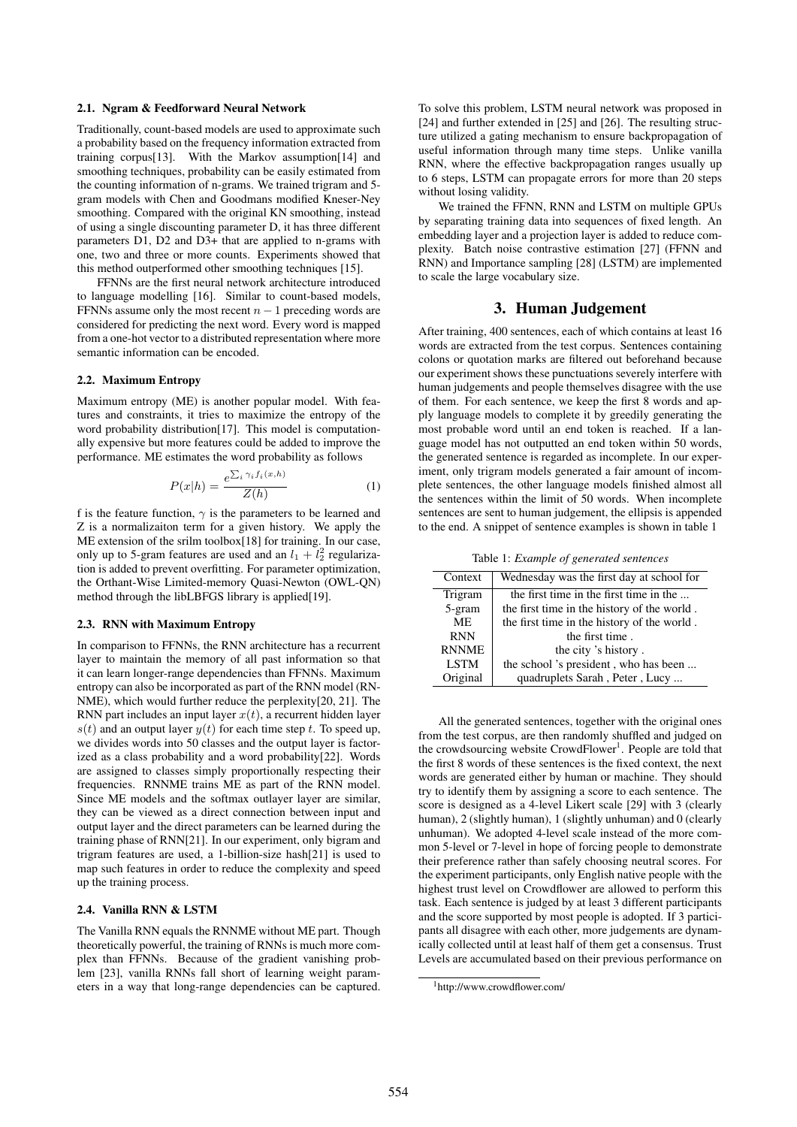#### 2.1. Ngram & Feedforward Neural Network

Traditionally, count-based models are used to approximate such a probability based on the frequency information extracted from training corpus[13]. With the Markov assumption[14] and smoothing techniques, probability can be easily estimated from the counting information of n-grams. We trained trigram and 5 gram models with Chen and Goodmans modified Kneser-Ney smoothing. Compared with the original KN smoothing, instead of using a single discounting parameter D, it has three different parameters D1, D2 and D3+ that are applied to n-grams with one, two and three or more counts. Experiments showed that this method outperformed other smoothing techniques [15].

FFNNs are the first neural network architecture introduced to language modelling [16]. Similar to count-based models, FFNNs assume only the most recent  $n - 1$  preceding words are considered for predicting the next word. Every word is mapped from a one-hot vector to a distributed representation where more semantic information can be encoded.

#### 2.2. Maximum Entropy

Maximum entropy (ME) is another popular model. With features and constraints, it tries to maximize the entropy of the word probability distribution[17]. This model is computationally expensive but more features could be added to improve the performance. ME estimates the word probability as follows

$$
P(x|h) = \frac{e^{\sum_{i} \gamma_i f_i(x,h)}}{Z(h)} \tag{1}
$$

f is the feature function,  $\gamma$  is the parameters to be learned and Z is a normalizaiton term for a given history. We apply the ME extension of the srilm toolbox[18] for training. In our case, only up to 5-gram features are used and an  $l_1 + l_2^2$  regularization is added to prevent overfitting. For parameter optimization, the Orthant-Wise Limited-memory Quasi-Newton (OWL-QN) method through the libLBFGS library is applied[19].

#### 2.3. RNN with Maximum Entropy

In comparison to FFNNs, the RNN architecture has a recurrent layer to maintain the memory of all past information so that it can learn longer-range dependencies than FFNNs. Maximum entropy can also be incorporated as part of the RNN model (RN-NME), which would further reduce the perplexity[20, 21]. The RNN part includes an input layer  $x(t)$ , a recurrent hidden layer  $s(t)$  and an output layer  $y(t)$  for each time step t. To speed up, we divides words into 50 classes and the output layer is factorized as a class probability and a word probability[22]. Words are assigned to classes simply proportionally respecting their frequencies. RNNME trains ME as part of the RNN model. Since ME models and the softmax outlayer layer are similar, they can be viewed as a direct connection between input and output layer and the direct parameters can be learned during the training phase of RNN[21]. In our experiment, only bigram and trigram features are used, a 1-billion-size hash[21] is used to map such features in order to reduce the complexity and speed up the training process.

## 2.4. Vanilla RNN & LSTM

The Vanilla RNN equals the RNNME without ME part. Though theoretically powerful, the training of RNNs is much more complex than FFNNs. Because of the gradient vanishing problem [23], vanilla RNNs fall short of learning weight parameters in a way that long-range dependencies can be captured. To solve this problem, LSTM neural network was proposed in [24] and further extended in [25] and [26]. The resulting structure utilized a gating mechanism to ensure backpropagation of useful information through many time steps. Unlike vanilla RNN, where the effective backpropagation ranges usually up to 6 steps, LSTM can propagate errors for more than 20 steps without losing validity.

We trained the FFNN, RNN and LSTM on multiple GPUs by separating training data into sequences of fixed length. An embedding layer and a projection layer is added to reduce complexity. Batch noise contrastive estimation [27] (FFNN and RNN) and Importance sampling [28] (LSTM) are implemented to scale the large vocabulary size.

## 3. Human Judgement

After training, 400 sentences, each of which contains at least 16 words are extracted from the test corpus. Sentences containing colons or quotation marks are filtered out beforehand because our experiment shows these punctuations severely interfere with human judgements and people themselves disagree with the use of them. For each sentence, we keep the first 8 words and apply language models to complete it by greedily generating the most probable word until an end token is reached. If a language model has not outputted an end token within 50 words, the generated sentence is regarded as incomplete. In our experiment, only trigram models generated a fair amount of incomplete sentences, the other language models finished almost all the sentences within the limit of 50 words. When incomplete sentences are sent to human judgement, the ellipsis is appended to the end. A snippet of sentence examples is shown in table 1

Table 1: *Example of generated sentences*

| Context      | Wednesday was the first day at school for   |  |  |  |
|--------------|---------------------------------------------|--|--|--|
| Trigram      | the first time in the first time in the     |  |  |  |
| 5-gram       | the first time in the history of the world. |  |  |  |
| ME.          | the first time in the history of the world. |  |  |  |
| <b>RNN</b>   | the first time.                             |  |  |  |
| <b>RNNME</b> | the city 's history.                        |  |  |  |
| <b>LSTM</b>  | the school 's president, who has been       |  |  |  |
| Original     | quadruplets Sarah, Peter, Lucy              |  |  |  |

All the generated sentences, together with the original ones from the test corpus, are then randomly shuffled and judged on the crowdsourcing website CrowdFlower<sup>1</sup>. People are told that the first 8 words of these sentences is the fixed context, the next words are generated either by human or machine. They should try to identify them by assigning a score to each sentence. The score is designed as a 4-level Likert scale [29] with 3 (clearly human), 2 (slightly human), 1 (slightly unhuman) and 0 (clearly unhuman). We adopted 4-level scale instead of the more common 5-level or 7-level in hope of forcing people to demonstrate their preference rather than safely choosing neutral scores. For the experiment participants, only English native people with the highest trust level on Crowdflower are allowed to perform this task. Each sentence is judged by at least 3 different participants and the score supported by most people is adopted. If 3 participants all disagree with each other, more judgements are dynamically collected until at least half of them get a consensus. Trust Levels are accumulated based on their previous performance on

<sup>1</sup>http://www.crowdflower.com/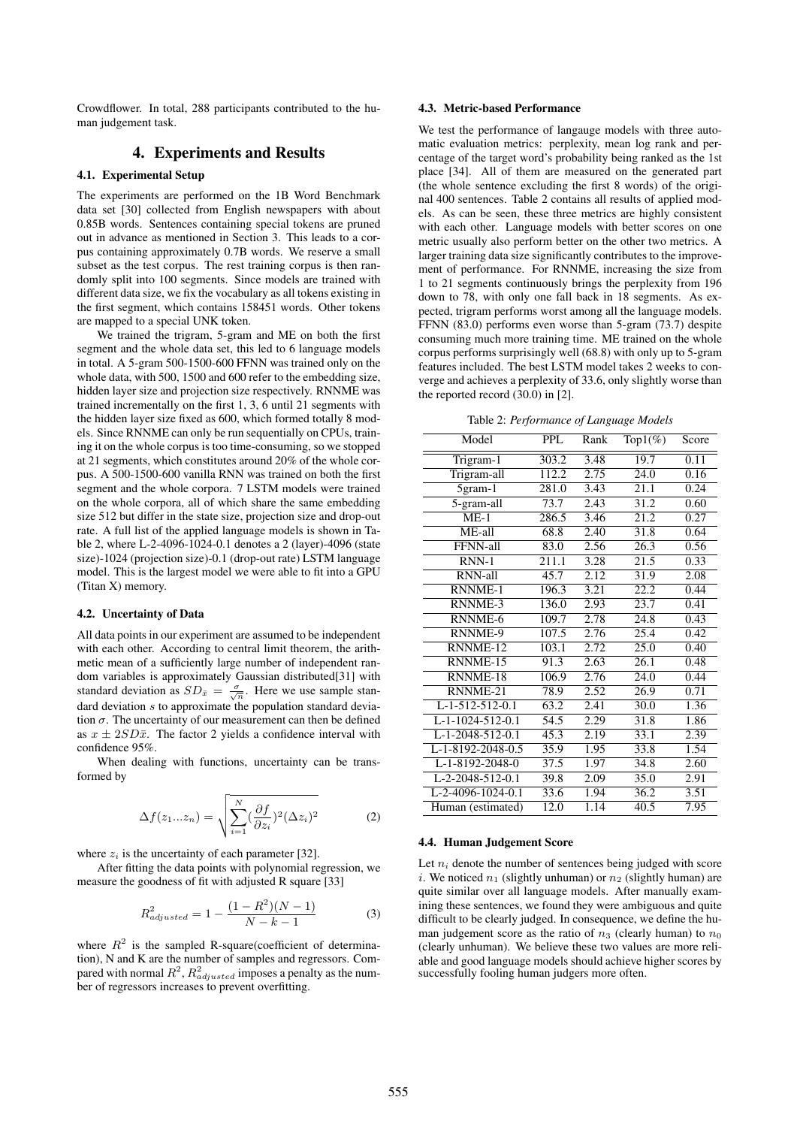Crowdflower. In total, 288 participants contributed to the human judgement task.

## 4. Experiments and Results

#### 4.1. Experimental Setup

The experiments are performed on the 1B Word Benchmark data set [30] collected from English newspapers with about 0.85B words. Sentences containing special tokens are pruned out in advance as mentioned in Section 3. This leads to a corpus containing approximately 0.7B words. We reserve a small subset as the test corpus. The rest training corpus is then randomly split into 100 segments. Since models are trained with different data size, we fix the vocabulary as all tokens existing in the first segment, which contains 158451 words. Other tokens are mapped to a special UNK token.

We trained the trigram, 5-gram and ME on both the first segment and the whole data set, this led to 6 language models in total. A 5-gram 500-1500-600 FFNN was trained only on the whole data, with 500, 1500 and 600 refer to the embedding size, hidden layer size and projection size respectively. RNNME was trained incrementally on the first 1, 3, 6 until 21 segments with the hidden layer size fixed as 600, which formed totally 8 models. Since RNNME can only be run sequentially on CPUs, training it on the whole corpus is too time-consuming, so we stopped at 21 segments, which constitutes around 20% of the whole corpus. A 500-1500-600 vanilla RNN was trained on both the first segment and the whole corpora. 7 LSTM models were trained on the whole corpora, all of which share the same embedding size 512 but differ in the state size, projection size and drop-out rate. A full list of the applied language models is shown in Table 2, where L-2-4096-1024-0.1 denotes a 2 (layer)-4096 (state size)-1024 (projection size)-0.1 (drop-out rate) LSTM language model. This is the largest model we were able to fit into a GPU (Titan X) memory.

#### 4.2. Uncertainty of Data

All data points in our experiment are assumed to be independent with each other. According to central limit theorem, the arithmetic mean of a sufficiently large number of independent random variables is approximately Gaussian distributed[31] with standard deviation as  $SD_{\bar{x}} = \frac{\sigma}{\sqrt{n}}$ . Here we use sample standard deviation s to approximate the population standard deviation  $\sigma$ . The uncertainty of our measurement can then be defined as  $x \pm 2SD\bar{x}$ . The factor 2 yields a confidence interval with confidence 95%.

When dealing with functions, uncertainty can be transformed by

$$
\Delta f(z_1...z_n) = \sqrt{\sum_{i=1}^N (\frac{\partial f}{\partial z_i})^2 (\Delta z_i)^2}
$$
 (2)

where  $z_i$  is the uncertainty of each parameter [32].

After fitting the data points with polynomial regression, we measure the goodness of fit with adjusted R square [33]

$$
R_{adjusted}^2 = 1 - \frac{(1 - R^2)(N - 1)}{N - k - 1}
$$
 (3)

where  $R^2$  is the sampled R-square(coefficient of determination), N and K are the number of samples and regressors. Compared with normal  $R^2$ ,  $R^2_{adjusted}$  imposes a penalty as the number of regressors increases to prevent overfitting.

## 4.3. Metric-based Performance

We test the performance of langauge models with three automatic evaluation metrics: perplexity, mean log rank and percentage of the target word's probability being ranked as the 1st place [34]. All of them are measured on the generated part (the whole sentence excluding the first 8 words) of the original 400 sentences. Table 2 contains all results of applied models. As can be seen, these three metrics are highly consistent with each other. Language models with better scores on one metric usually also perform better on the other two metrics. A larger training data size significantly contributes to the improvement of performance. For RNNME, increasing the size from 1 to 21 segments continuously brings the perplexity from 196 down to 78, with only one fall back in 18 segments. As expected, trigram performs worst among all the language models. FFNN (83.0) performs even worse than 5-gram (73.7) despite consuming much more training time. ME trained on the whole corpus performs surprisingly well (68.8) with only up to 5-gram features included. The best LSTM model takes 2 weeks to converge and achieves a perplexity of 33.6, only slightly worse than the reported record (30.0) in [2].

Table 2: *Performance of Language Models*

| Model             | <b>PPL</b> | Rank | Top $1(\%)$       | Score |
|-------------------|------------|------|-------------------|-------|
| Trigram-1         | 303.2      | 3.48 | 19.7              | 0.11  |
| Trigram-all       | 112.2      | 2.75 | 24.0              | 0.16  |
| $5gram-1$         | 281.0      | 3.43 | 21.1              | 0.24  |
| $5$ -gram-all     | 73.7       | 2.43 | 31.2              | 0.60  |
| $ME-1$            | 286.5      | 3.46 | 21.2              | 0.27  |
| ME-all            | 68.8       | 2.40 | 31.8              | 0.64  |
| FFNN-all          | 83.0       | 2.56 | $\overline{26.3}$ | 0.56  |
| RNN-1             | 211.1      | 3.28 | $\overline{21.5}$ | 0.33  |
| RNN-all           | 45.7       | 2.12 | 31.9              | 2.08  |
| <b>RNNME-1</b>    | 196.3      | 3.21 | 22.2              | 0.44  |
| RNNME-3           | 136.0      | 2.93 | 23.7              | 0.41  |
| RNNME-6           | 109.7      | 2.78 | 24.8              | 0.43  |
| <b>RNNME-9</b>    | 107.5      | 2.76 | $\overline{25.4}$ | 0.42  |
| RNNME-12          | 103.1      | 2.72 | 25.0              | 0.40  |
| RNNME-15          | 91.3       | 2.63 | 26.1              | 0.48  |
| RNNME-18          | 106.9      | 2.76 | 24.0              | 0.44  |
| RNNME-21          | 78.9       | 2.52 | 26.9              | 0.71  |
| L-1-512-512-0.1   | 63.2       | 2.41 | 30.0              | 1.36  |
| L-1-1024-512-0.1  | 54.5       | 2.29 | 31.8              | 1.86  |
| L-1-2048-512-0.1  | 45.3       | 2.19 | 33.1              | 2.39  |
| L-1-8192-2048-0.5 | 35.9       | 1.95 | 33.8              | 1.54  |
| L-1-8192-2048-0   | 37.5       | 1.97 | 34.8              | 2.60  |
| L-2-2048-512-0.1  | 39.8       | 2.09 | 35.0              | 2.91  |
| L-2-4096-1024-0.1 | 33.6       | 1.94 | 36.2              | 3.51  |
| Human (estimated) | 12.0       | 1.14 | 40.5              | 7.95  |

## 4.4. Human Judgement Score

Let  $n_i$  denote the number of sentences being judged with score i. We noticed  $n_1$  (slightly unhuman) or  $n_2$  (slightly human) are quite similar over all language models. After manually examining these sentences, we found they were ambiguous and quite difficult to be clearly judged. In consequence, we define the human judgement score as the ratio of  $n_3$  (clearly human) to  $n_0$ (clearly unhuman). We believe these two values are more reliable and good language models should achieve higher scores by successfully fooling human judgers more often.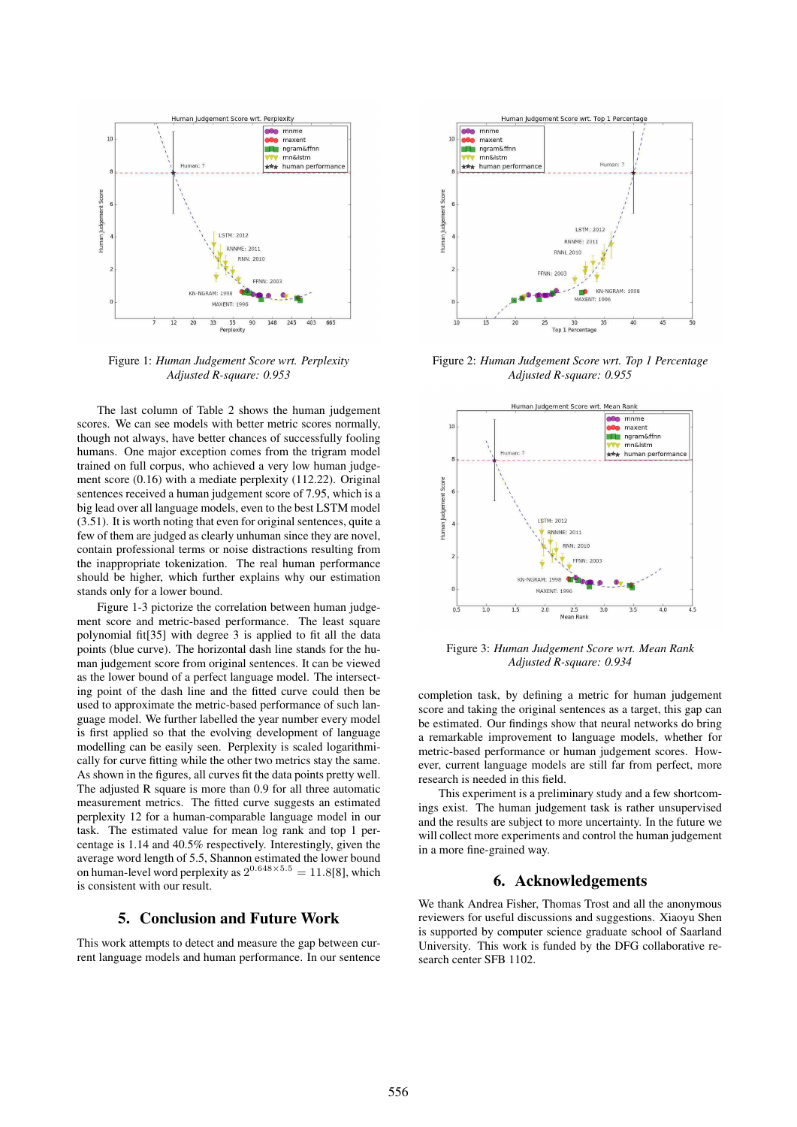

Figure 1: *Human Judgement Score wrt. Perplexity Adjusted R-square: 0.953*

The last column of Table 2 shows the human judgement scores. We can see models with better metric scores normally, though not always, have better chances of successfully fooling humans. One major exception comes from the trigram model trained on full corpus, who achieved a very low human judgement score (0.16) with a mediate perplexity (112.22). Original sentences received a human judgement score of 7.95, which is a big lead over all language models, even to the best LSTM model (3.51). It is worth noting that even for original sentences, quite a few of them are judged as clearly unhuman since they are novel, contain professional terms or noise distractions resulting from the inappropriate tokenization. The real human performance should be higher, which further explains why our estimation stands only for a lower bound.

Figure 1-3 pictorize the correlation between human judgement score and metric-based performance. The least square polynomial fit[35] with degree 3 is applied to fit all the data points (blue curve). The horizontal dash line stands for the human judgement score from original sentences. It can be viewed as the lower bound of a perfect language model. The intersecting point of the dash line and the fitted curve could then be used to approximate the metric-based performance of such language model. We further labelled the year number every model is first applied so that the evolving development of language modelling can be easily seen. Perplexity is scaled logarithmically for curve fitting while the other two metrics stay the same. As shown in the figures, all curves fit the data points pretty well. The adjusted R square is more than 0.9 for all three automatic measurement metrics. The fitted curve suggests an estimated perplexity 12 for a human-comparable language model in our task. The estimated value for mean log rank and top 1 percentage is 1.14 and 40.5% respectively. Interestingly, given the average word length of 5.5, Shannon estimated the lower bound on human-level word perplexity as  $2^{0.648 \times 5.5} = 11.8[8]$ , which is consistent with our result.

# 5. Conclusion and Future Work

This work attempts to detect and measure the gap between current language models and human performance. In our sentence



Figure 2: *Human Judgement Score wrt. Top 1 Percentage Adjusted R-square: 0.955*



Figure 3: *Human Judgement Score wrt. Mean Rank Adjusted R-square: 0.934*

completion task, by defining a metric for human judgement score and taking the original sentences as a target, this gap can be estimated. Our findings show that neural networks do bring a remarkable improvement to language models, whether for metric-based performance or human judgement scores. However, current language models are still far from perfect, more research is needed in this field.

This experiment is a preliminary study and a few shortcomings exist. The human judgement task is rather unsupervised and the results are subject to more uncertainty. In the future we will collect more experiments and control the human judgement in a more fine-grained way.

# 6. Acknowledgements

We thank Andrea Fisher, Thomas Trost and all the anonymous reviewers for useful discussions and suggestions. Xiaoyu Shen is supported by computer science graduate school of Saarland University. This work is funded by the DFG collaborative research center SFB 1102.